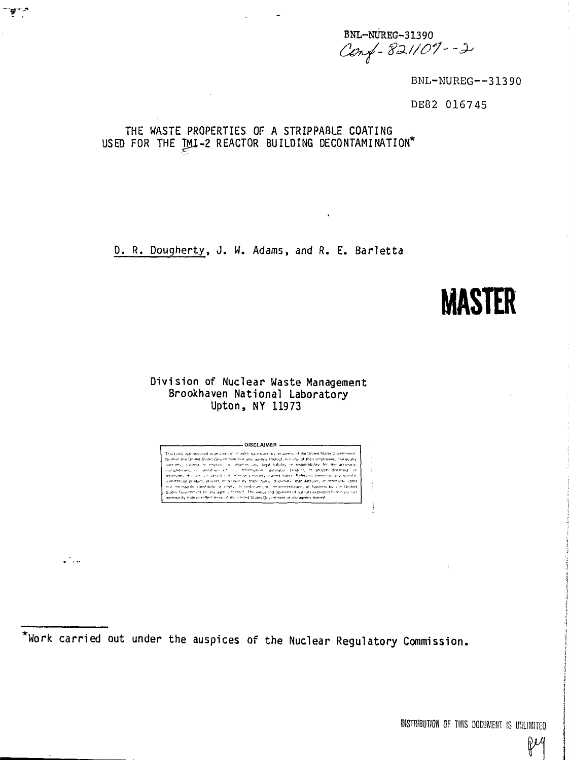BNL-NUREG-31390<br>Cerry - 82//09 - - 2

BNL-NUREG—313 90

**MASTER**

DE82 016745

# THE WASTE PROPERTIES OF A STRIPPA8LE COATING USED FOR THE TMI-2 REACTOR BUILDING DECONTAMINATION\*

D. R. Dougherty, J. W. Adams, and R. E. Barletta

 $\cdot$ 

 $\frac{1}{2}$ 

### Division of Nuclear Waste Management Brookhaven National Laboratory Upton, NY 11973

- DISCLAIMER -The Look was remained acar account of 2002 LATING LATING and the state of pointment. Therefore, the basis was remained academic of 2002 and was many completed, it is one of the distribution of the properties that the prop

 $^\star$ Work carried out under the auspices of the Nuclear Regulatory Commission.

 $\mathcal{L}$ 

Peg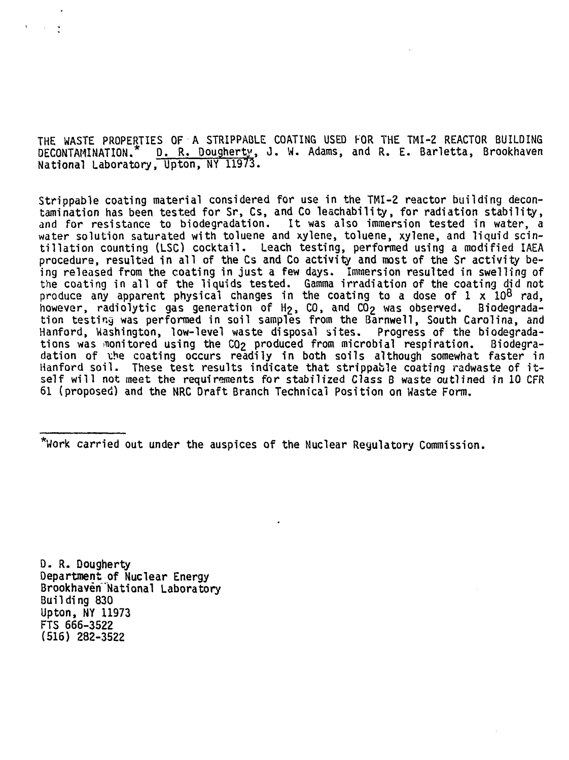THE WASTE PROPERTIES OF A STRIPPABLE COATING USED FOR THE TMI-2 REACTOR BUILDING<br>DECONTAMINATION,<sup>\*</sup> D. R. Dougherty, J. W. Adams, and R. E. Barletta, Brookhaven D. R. Dougherty, J. W. Adams, and R. E. Barletta, Brookhaven National Laboratory, Upton, NY 11973.

Strippable coating material considered for use in the TMI-2 reactor building decontamination has been tested for Sr, Cs, and Co leachability, for radiation stability, and for resistance to biodegradation. It was also immersion tested in water, a water solution saturated with toluene and xylene, toluene, xylene, and liquid scintillation counting (LSC) cocktail. Leach testing, performed using a modified IAEA procedure, resulted in all of the Cs and Co activity and most of the Sr activity being released from the coating in just a few days. Immersion resulted in swelling of the coating in all of the liquids tested. Gamma irradiation of the coating did not produce any apparent physical changes in the coating to a dose of 1 x 10<sup>8</sup> rad, however, radiolytic gas generation of H<sub>2</sub>, CO, and CO<sub>2</sub> was observed. Biodegradation testing was performed in soil samples from the Barnwell, South Carolina, and Hanford, Washington, low-level waste disposal sites. Progress of the biodegradations was monitored using the CO<sub>2</sub> produced from microbial respiration. Biodegradation of the coating occurs readily in both soils although somewhat faster in Hanford soil. These test results indicate that strippable coating radwaste of itself will not meet the requirements for stabilized Class B waste outlined in 10 CFR 61 (proposed) and the NRC Draft Branch Technical Position on Waste Form.

\*Work carried out under the auspices of the Nuclear Regulatory Commission,

**D. R. Dougherty Department of Nuclear Energy Brookhaven National Laboratory Building 830** Upton, NY 11973 FTS 666-3522 (516) 282-3522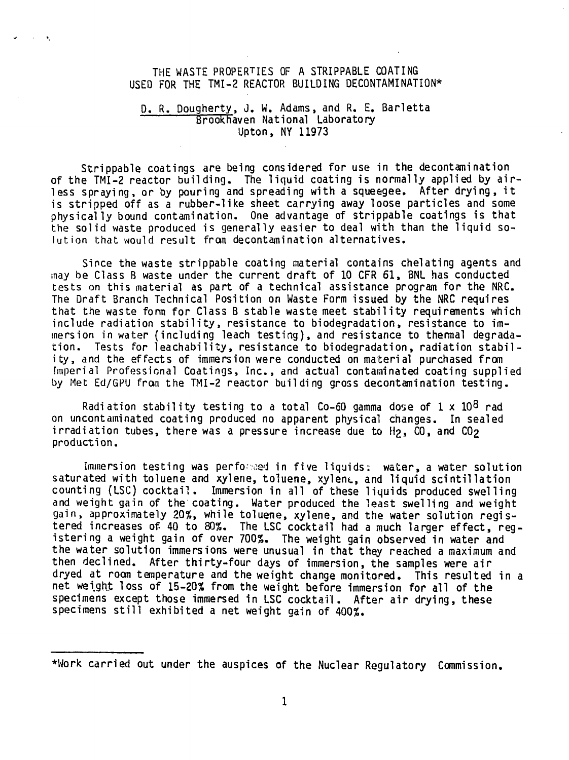# THE WASTE PROPERTIES OF A STRIPPABLE COATING USED FOR THE TMI-2 REACTOR BUILDING DECONTAMINATION\*

 $\sim 10^{-10}$  k

#### D. R. Dougherty, J. W. Adams, and R. E. Barletta Brookhaven National Laboratory Upton, NY 11973

Strippable coatings are being considered for use in the decontamination of the TMI-2 reactor building. The liquid coating is normally applied by airless spraying, or by pouring and spreading with a squeegee. After drying, it is stripped off as a rubber-like sheet carrying away loose particles and some physically bound contamination. One advantage of strippable coatings is that the solid waste produced is generally easier to deal with than the liquid solution that would result from decontamination alternatives.

Since the waste strippable coating material contains chelating agents and may be Class B waste under the current draft of 10 CFR 61, BNL has conducted tests on this material as part of a technical assistance program for the NRC. The Draft Branch Technical Position on Waste Form issued by the NRC requires that the waste form for Class B stable waste meet stability requirements which include radiation stability, resistance to biodegradation, resistance to immersion in water (including leach testing), and resistance to thermal degradation . Tests for leachability, resistance to biodegradation, radiation stability , and the effects of immersion were conducted on material purchased from Imperial Professional Coatings, Inc., and actual contaminated coating supplied by Met Ed/GPU from the TMI-2 reactor building gross decontamination testing.

Radiation stability testing to a total Co-60 gamma dose of 1 x  $10^8$  rad on uncontaininated coating produced no apparent physical changes. In sealed irradiation tubes, there was a pressure increase due to  $H_2$ , CO, and CO<sub>2</sub> production.

Immersion testing was performed in five liquids: water, a water solution saturated with toluene and xylene, toluene, xylene, and liquid scintillation counting (LSC) cocktail. Immersion in all of these liquids produced swelling and weight gain of the coating. Water produced the least swelling and weight gain, approximately 20%, while toluene, xylene, and the water solution registered increases of- 40 to 80%. The LSC cocktail had a much larger effect, registering a weight gain of over 700%. The weight gain observed in water and the water solution immersions were unusual in that they reached a maximum and then declined. After thirty-four days of immersion, the samples were air dryed at room temperature and the weight change monitored. This resulted in a net weight loss of 15-20% from the weight before immersion for all of the specimens except those immersed in LSC cocktail. After air drying, these specimens still exhibited a net weight gain of 400%.

<sup>\*</sup>Work carried out under the auspices of the Nuclear Regulatory Commission.